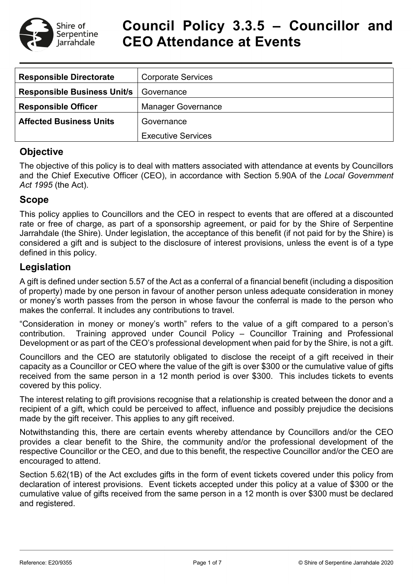

## **Council Policy 3.3.5 – Councillor and CEO Attendance at Events**

| <b>Responsible Directorate</b>     | <b>Corporate Services</b> |  |
|------------------------------------|---------------------------|--|
| <b>Responsible Business Unit/s</b> | Governance                |  |
| <b>Responsible Officer</b>         | <b>Manager Governance</b> |  |
| <b>Affected Business Units</b>     | Governance                |  |
|                                    | <b>Executive Services</b> |  |

### **Objective**

The objective of this policy is to deal with matters associated with attendance at events by Councillors and the Chief Executive Officer (CEO), in accordance with Section 5.90A of the *Local Government Act 1995* (the Act).

### **Scope**

This policy applies to Councillors and the CEO in respect to events that are offered at a discounted rate or free of charge, as part of a sponsorship agreement, or paid for by the Shire of Serpentine Jarrahdale (the Shire). Under legislation, the acceptance of this benefit (if not paid for by the Shire) is considered a gift and is subject to the disclosure of interest provisions, unless the event is of a type defined in this policy.

### **Legislation**

A gift is defined under section 5.57 of the Act as a conferral of a financial benefit (including a disposition of property) made by one person in favour of another person unless adequate consideration in money or money's worth passes from the person in whose favour the conferral is made to the person who makes the conferral. It includes any contributions to travel.

"Consideration in money or money's worth" refers to the value of a gift compared to a person's contribution. Training approved under Council Policy – Councillor Training and Professional Development or as part of the CEO's professional development when paid for by the Shire, is not a gift.

Councillors and the CEO are statutorily obligated to disclose the receipt of a gift received in their capacity as a Councillor or CEO where the value of the gift is over \$300 or the cumulative value of gifts received from the same person in a 12 month period is over \$300. This includes tickets to events covered by this policy.

The interest relating to gift provisions recognise that a relationship is created between the donor and a recipient of a gift, which could be perceived to affect, influence and possibly prejudice the decisions made by the gift receiver. This applies to any gift received.

Notwithstanding this, there are certain events whereby attendance by Councillors and/or the CEO provides a clear benefit to the Shire, the community and/or the professional development of the respective Councillor or the CEO, and due to this benefit, the respective Councillor and/or the CEO are encouraged to attend.

Section 5.62(1B) of the Act excludes gifts in the form of event tickets covered under this policy from declaration of interest provisions. Event tickets accepted under this policy at a value of \$300 or the cumulative value of gifts received from the same person in a 12 month is over \$300 must be declared and registered.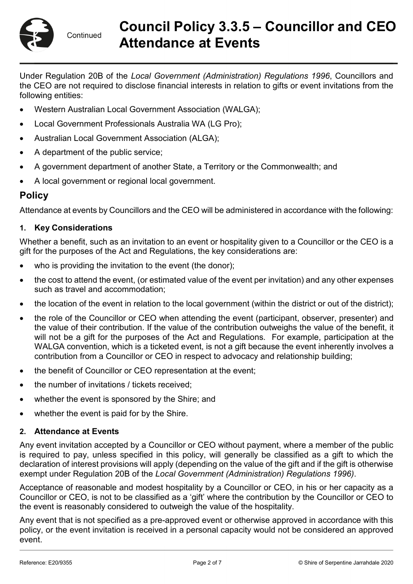

# **Council Policy 3.3.5 – Councillor and CEO Attendance at Events**

Under Regulation 20B of the *Local Government (Administration) Regulations 1996*, Councillors and the CEO are not required to disclose financial interests in relation to gifts or event invitations from the following entities:

- Western Australian Local Government Association (WALGA);
- Local Government Professionals Australia WA (LG Pro);
- Australian Local Government Association (ALGA);
- A department of the public service;
- A government department of another State, a Territory or the Commonwealth; and
- A local government or regional local government.

### **Policy**

Attendance at events by Councillors and the CEO will be administered in accordance with the following:

### **1. Key Considerations**

Whether a benefit, such as an invitation to an event or hospitality given to a Councillor or the CEO is a gift for the purposes of the Act and Regulations, the key considerations are:

- who is providing the invitation to the event (the donor);
- the cost to attend the event, (or estimated value of the event per invitation) and any other expenses such as travel and accommodation;
- the location of the event in relation to the local government (within the district or out of the district);
- the role of the Councillor or CEO when attending the event (participant, observer, presenter) and the value of their contribution. If the value of the contribution outweighs the value of the benefit, it will not be a gift for the purposes of the Act and Regulations. For example, participation at the WALGA convention, which is a ticketed event, is not a gift because the event inherently involves a contribution from a Councillor or CEO in respect to advocacy and relationship building;
- the benefit of Councillor or CEO representation at the event;
- the number of invitations / tickets received;
- whether the event is sponsored by the Shire; and
- whether the event is paid for by the Shire.

### **2. Attendance at Events**

Any event invitation accepted by a Councillor or CEO without payment, where a member of the public is required to pay, unless specified in this policy, will generally be classified as a gift to which the declaration of interest provisions will apply (depending on the value of the gift and if the gift is otherwise exempt under Regulation 20B of the *Local Government (Administration) Regulations 1996)*.

Acceptance of reasonable and modest hospitality by a Councillor or CEO, in his or her capacity as a Councillor or CEO, is not to be classified as a 'gift' where the contribution by the Councillor or CEO to the event is reasonably considered to outweigh the value of the hospitality.

Any event that is not specified as a pre-approved event or otherwise approved in accordance with this policy, or the event invitation is received in a personal capacity would not be considered an approved event.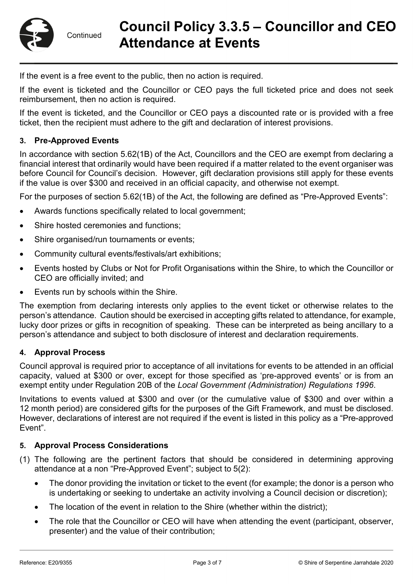# **Council Policy 3.3.5 – Councillor and CEO Attendance at Events**

If the event is a free event to the public, then no action is required.

If the event is ticketed and the Councillor or CEO pays the full ticketed price and does not seek reimbursement, then no action is required.

If the event is ticketed, and the Councillor or CEO pays a discounted rate or is provided with a free ticket, then the recipient must adhere to the gift and declaration of interest provisions.

#### **3. Pre-Approved Events**

In accordance with section 5.62(1B) of the Act, Councillors and the CEO are exempt from declaring a financial interest that ordinarily would have been required if a matter related to the event organiser was before Council for Council's decision. However, gift declaration provisions still apply for these events if the value is over \$300 and received in an official capacity, and otherwise not exempt.

For the purposes of section 5.62(1B) of the Act, the following are defined as "Pre-Approved Events":

- Awards functions specifically related to local government;
- Shire hosted ceremonies and functions:
- Shire organised/run tournaments or events;
- Community cultural events/festivals/art exhibitions;
- Events hosted by Clubs or Not for Profit Organisations within the Shire, to which the Councillor or CEO are officially invited; and
- Events run by schools within the Shire.

The exemption from declaring interests only applies to the event ticket or otherwise relates to the person's attendance. Caution should be exercised in accepting gifts related to attendance, for example, lucky door prizes or gifts in recognition of speaking. These can be interpreted as being ancillary to a person's attendance and subject to both disclosure of interest and declaration requirements.

#### **4. Approval Process**

Council approval is required prior to acceptance of all invitations for events to be attended in an official capacity, valued at \$300 or over, except for those specified as 'pre-approved events' or is from an exempt entity under Regulation 20B of the *Local Government (Administration) Regulations 1996*.

Invitations to events valued at \$300 and over (or the cumulative value of \$300 and over within a 12 month period) are considered gifts for the purposes of the Gift Framework, and must be disclosed. However, declarations of interest are not required if the event is listed in this policy as a "Pre-approved Event".

#### **5. Approval Process Considerations**

- (1) The following are the pertinent factors that should be considered in determining approving attendance at a non "Pre-Approved Event"; subject to 5(2):
	- The donor providing the invitation or ticket to the event (for example; the donor is a person who is undertaking or seeking to undertake an activity involving a Council decision or discretion);
	- The location of the event in relation to the Shire (whether within the district);
	- The role that the Councillor or CEO will have when attending the event (participant, observer, presenter) and the value of their contribution;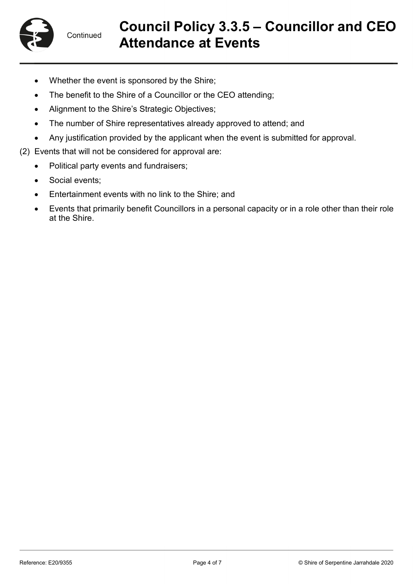

# **Council Policy 3.3.5 – Councillor and CEO Attendance at Events**

- Whether the event is sponsored by the Shire;
- The benefit to the Shire of a Councillor or the CEO attending;
- Alignment to the Shire's Strategic Objectives;
- The number of Shire representatives already approved to attend; and
- Any justification provided by the applicant when the event is submitted for approval.
- (2) Events that will not be considered for approval are:
	- Political party events and fundraisers;
	- Social events;
	- Entertainment events with no link to the Shire; and
	- Events that primarily benefit Councillors in a personal capacity or in a role other than their role at the Shire.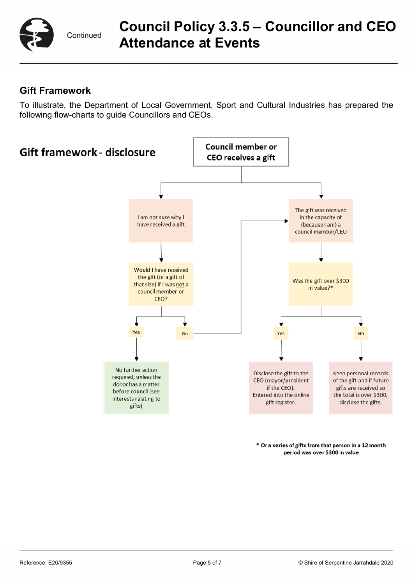

# **Council Policy 3.3.5 – Councillor and CEO Attendance at Events**

## **Gift Framework**

To illustrate, the Department of Local Government, Sport and Cultural Industries has prepared the following flow-charts to guide Councillors and CEOs.



\* Or a series of gifts from that person in a 12 month period was over \$300 in value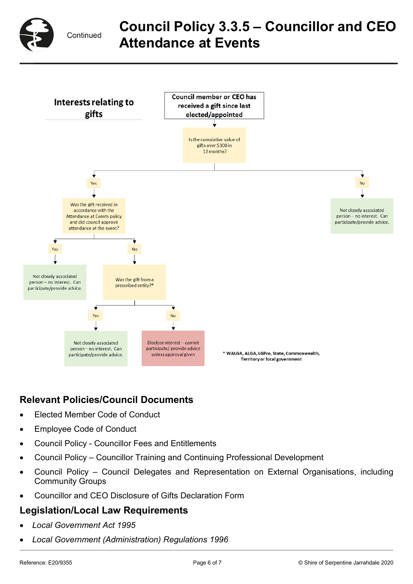

# **Council Policy 3.3.5 – Councillor and CEO Attendance at Events**



## **Relevant Policies/Council Documents**

- Elected Member Code of Conduct
- Employee Code of Conduct
- Council Policy Councillor Fees and Entitlements
- Council Policy Councillor Training and Continuing Professional Development
- Council Policy Council Delegates and Representation on External Organisations, including Community Groups
- Councillor and CEO Disclosure of Gifts Declaration Form

### **Legislation/Local Law Requirements**

- *Local Government Act 1995*
- *Local Government (Administration) Regulations 1996*